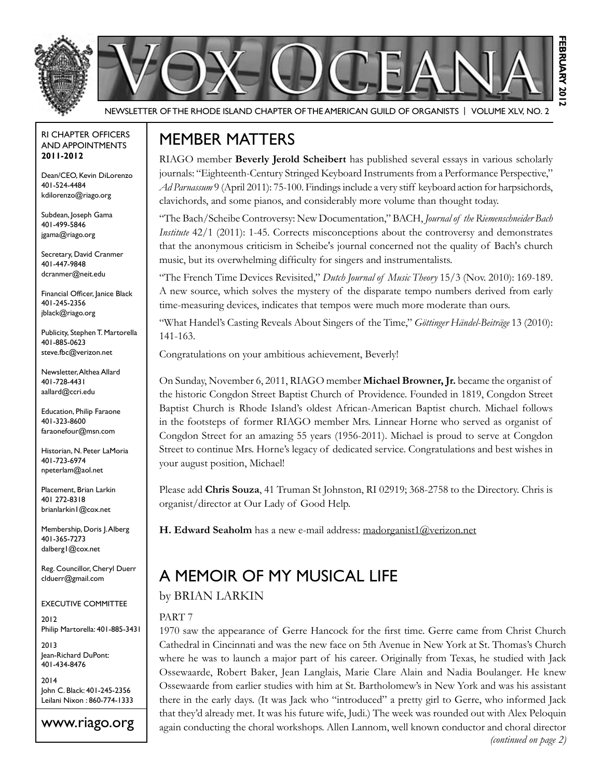

Newsletter of the Rhode Island Chapter of the American Guild of OrganistS | Volume XLV, No. 2

#### RI Chapter Officers and Appointments **2011-2012**

Dean/CEO, Kevin DiLorenzo 401-524-4484 kdilorenzo@riago.org

Subdean, Joseph Gama 401-499-5846 jgama@riago.org

Secretary, David Cranmer 401-447-9848 dcranmer@neit.edu

Financial Officer, Janice Black 401-245-2356 jblack@riago.org

Publicity, Stephen T. Martorella 401-885-0623 steve.fbc@verizon.net

Newsletter, Althea Allard 401-728-4431 aallard@ccri.edu

Education, Philip Faraone 401-323-8600 faraonefour@msn.com

Historian, N. Peter LaMoria 401-723-6974 npeterlam@aol.net

Placement, Brian Larkin 401 272-8318 brianlarkin1@cox.net

Membership, Doris J. Alberg 401-365-7273 dalberg1@cox.net

Reg. Councillor, Cheryl Duerr clduerr@gmail.com

Executive Committee

2012 Philip Martorella: 401-885-3431

2013 Jean-Richard DuPont: 401-434-8476

2014 John C. Black: 401-245-2356 Leilani Nixon : 860-774-1333

www.riago.org

## Member matters

RIAGO member **Beverly Jerold Scheibert** has published several essays in various scholarly journals: "Eighteenth-Century Stringed Keyboard Instruments from a Performance Perspective," *Ad Parnassum* 9 (April 2011): 75-100. Findings include a very stiff keyboard action for harpsichords, clavichords, and some pianos, and considerably more volume than thought today.

"The Bach/Scheibe Controversy: New Documentation," BACH, *Journal of the Riemenschneider Bach Institute* 42/1 (2011): 1-45. Corrects misconceptions about the controversy and demonstrates that the anonymous criticism in Scheibe's journal concerned not the quality of Bach's church music, but its overwhelming difficulty for singers and instrumentalists.

"The French Time Devices Revisited," *Dutch Journal of Music Theory* 15/3 (Nov. 2010): 169-189. A new source, which solves the mystery of the disparate tempo numbers derived from early time-measuring devices, indicates that tempos were much more moderate than ours.

"What Handel's Casting Reveals About Singers of the Time," *Göttinger Händel-Beiträge* 13 (2010): 141-163.

Congratulations on your ambitious achievement, Beverly!

On Sunday, November 6, 2011, RIAGO member **Michael Browner, Jr.** became the organist of the historic Congdon Street Baptist Church of Providence. Founded in 1819, Congdon Street Baptist Church is Rhode Island's oldest African-American Baptist church. Michael follows in the footsteps of former RIAGO member Mrs. Linnear Horne who served as organist of Congdon Street for an amazing 55 years (1956-2011). Michael is proud to serve at Congdon Street to continue Mrs. Horne's legacy of dedicated service. Congratulations and best wishes in your august position, Michael!

Please add **Chris Souza**, 41 Truman St Johnston, RI 02919; 368-2758 to the Directory. Chris is organist/director at Our Lady of Good Help.

**H. Edward Seaholm** has a new e-mail address: madorganist1@verizon.net

# A Memoir of My Musical Life

### by Brian Larkin

### PART 7

1970 saw the appearance of Gerre Hancock for the first time. Gerre came from Christ Church Cathedral in Cincinnati and was the new face on 5th Avenue in New York at St. Thomas's Church where he was to launch a major part of his career. Originally from Texas, he studied with Jack Ossewaarde, Robert Baker, Jean Langlais, Marie Clare Alain and Nadia Boulanger. He knew Ossewaarde from earlier studies with him at St. Bartholomew's in New York and was his assistant there in the early days. (It was Jack who "introduced" a pretty girl to Gerre, who informed Jack that they'd already met. It was his future wife, Judi.) The week was rounded out with Alex Peloquin again conducting the choral workshops. Allen Lannom, well known conductor and choral director *(continued on page 2)*